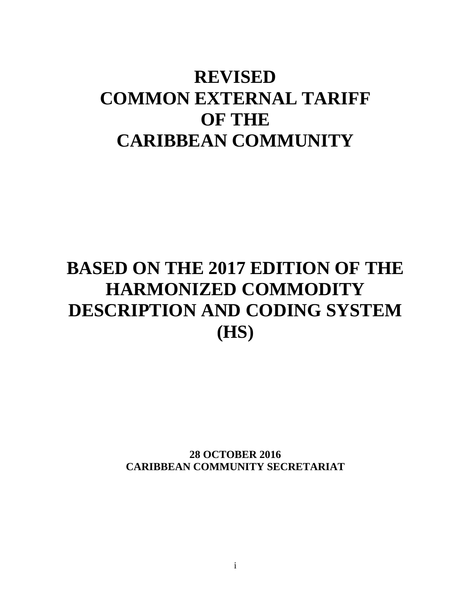# **REVISED COMMON EXTERNAL TARIFF OF THE CARIBBEAN COMMUNITY**

# **BASED ON THE 2017 EDITION OF THE HARMONIZED COMMODITY DESCRIPTION AND CODING SYSTEM (HS)**

**28 OCTOBER 2016 CARIBBEAN COMMUNITY SECRETARIAT**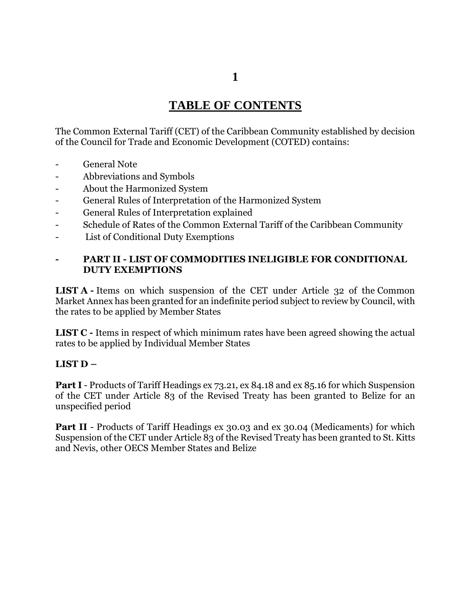# **TABLE OF CONTENTS**

The Common External Tariff (CET) of the Caribbean Community established by decision of the Council for Trade and Economic Development (COTED) contains:

- General Note
- Abbreviations and Symbols
- About the Harmonized System
- General Rules of Interpretation of the Harmonized System
- General Rules of Interpretation explained
- Schedule of Rates of the Common External Tariff of the Caribbean Community
- List of Conditional Duty Exemptions

#### **- PART II - LIST OF COMMODITIES INELIGIBLE FOR CONDITIONAL DUTY EXEMPTIONS**

**LIST A** - Items on which suspension of the CET under Article 32 of the Common Market Annex has been granted for an indefinite period subject to review by Council, with the rates to be applied by Member States

**LIST C** - Items in respect of which minimum rates have been agreed showing the actual rates to be applied by Individual Member States

#### **LIST D –**

**Part I** - Products of Tariff Headings ex 73.21, ex 84.18 and ex 85.16 for which Suspension of the CET under Article 83 of the Revised Treaty has been granted to Belize for an unspecified period

**Part II** - Products of Tariff Headings ex 30.03 and ex 30.04 (Medicaments) for which Suspension of the CET under Article 83 of the Revised Treaty has been granted to St. Kitts and Nevis, other OECS Member States and Belize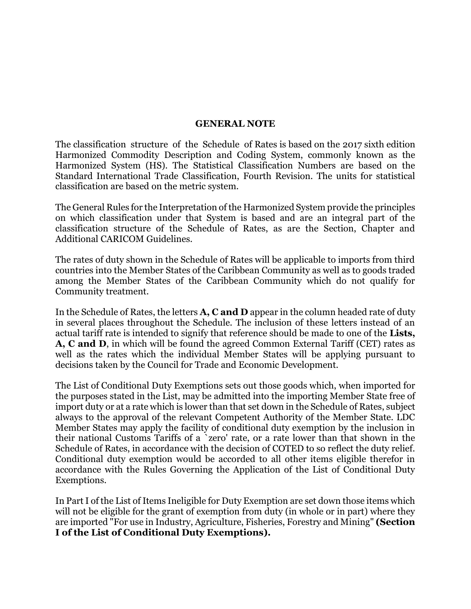#### **GENERAL NOTE**

The classification structure of the Schedule of Rates is based on the 2017 sixth edition Harmonized Commodity Description and Coding System, commonly known as the Harmonized System (HS). The Statistical Classification Numbers are based on the Standard International Trade Classification, Fourth Revision. The units for statistical classification are based on the metric system.

The General Rules for the Interpretation of the Harmonized System provide the principles on which classification under that System is based and are an integral part of the classification structure of the Schedule of Rates, as are the Section, Chapter and Additional CARICOM Guidelines.

The rates of duty shown in the Schedule of Rates will be applicable to imports from third countries into the Member States of the Caribbean Community as well as to goods traded among the Member States of the Caribbean Community which do not qualify for Community treatment.

In the Schedule of Rates, the letters **A, C and D** appear in the column headed rate of duty in several places throughout the Schedule. The inclusion of these letters instead of an actual tariff rate is intended to signify that reference should be made to one of the **Lists, A, C and D**, in which will be found the agreed Common External Tariff (CET) rates as well as the rates which the individual Member States will be applying pursuant to decisions taken by the Council for Trade and Economic Development.

The List of Conditional Duty Exemptions sets out those goods which, when imported for the purposes stated in the List, may be admitted into the importing Member State free of import duty or at a rate which is lower than that set down in the Schedule of Rates, subject always to the approval of the relevant Competent Authority of the Member State. LDC Member States may apply the facility of conditional duty exemption by the inclusion in their national Customs Tariffs of a `zero' rate, or a rate lower than that shown in the Schedule of Rates, in accordance with the decision of COTED to so reflect the duty relief. Conditional duty exemption would be accorded to all other items eligible therefor in accordance with the Rules Governing the Application of the List of Conditional Duty Exemptions.

In Part I of the List of Items Ineligible for Duty Exemption are set down those items which will not be eligible for the grant of exemption from duty (in whole or in part) where they are imported "For use in Industry, Agriculture, Fisheries, Forestry and Mining" **(Section I of the List of Conditional Duty Exemptions).**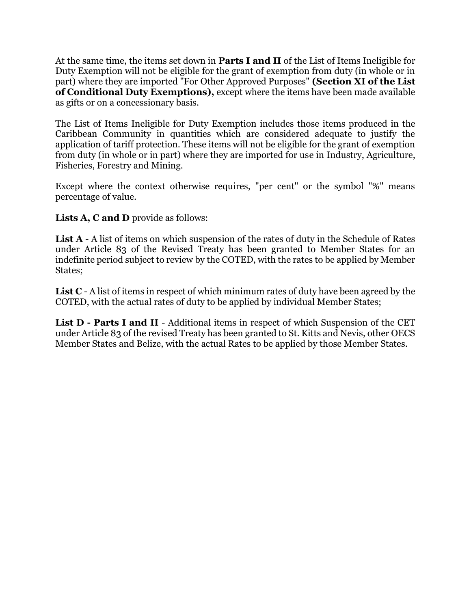At the same time, the items set down in **Parts I and II** of the List of Items Ineligible for Duty Exemption will not be eligible for the grant of exemption from duty (in whole or in part) where they are imported "For Other Approved Purposes" **(Section XI of the List of Conditional Duty Exemptions),** except where the items have been made available as gifts or on a concessionary basis.

The List of Items Ineligible for Duty Exemption includes those items produced in the Caribbean Community in quantities which are considered adequate to justify the application of tariff protection. These items will not be eligible for the grant of exemption from duty (in whole or in part) where they are imported for use in Industry, Agriculture, Fisheries, Forestry and Mining.

Except where the context otherwise requires, "per cent" or the symbol "%" means percentage of value.

**Lists A, C and D** provide as follows:

List A - A list of items on which suspension of the rates of duty in the Schedule of Rates under Article 83 of the Revised Treaty has been granted to Member States for an indefinite period subject to review by the COTED, with the rates to be applied by Member States;

**List C** - A list of items in respect of which minimum rates of duty have been agreed by the COTED, with the actual rates of duty to be applied by individual Member States;

**List D - Parts I and II** - Additional items in respect of which Suspension of the CET under Article 83 of the revised Treaty has been granted to St. Kitts and Nevis, other OECS Member States and Belize, with the actual Rates to be applied by those Member States.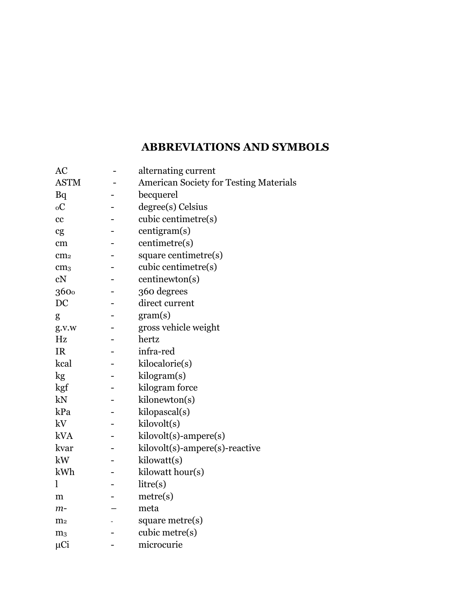# **ABBREVIATIONS AND SYMBOLS**

| AC              | alternating current                           |
|-----------------|-----------------------------------------------|
| <b>ASTM</b>     | <b>American Society for Testing Materials</b> |
| Bq              | becquerel                                     |
| ${}_{0}C$       | degree(s) Celsius                             |
| cc              | cubic centimetre(s)                           |
| cg              | centigram(s)                                  |
| cm              | centimetre(s)                                 |
| cm <sub>2</sub> | square centimetre(s)                          |
| cm <sub>3</sub> | cubic centimetre(s)                           |
| cN              | centinewton(s)                                |
| 3600            | 360 degrees                                   |
| DC              | direct current                                |
| g               | gram(s)                                       |
| g.v.w           | gross vehicle weight                          |
| Hz              | hertz                                         |
| <b>IR</b>       | infra-red                                     |
| kcal            | kilocalorie(s)                                |
| kg              | kilogram(s)                                   |
| kgf             | kilogram force                                |
| kN              | kilonewton(s)                                 |
| kPa             | kilopascal(s)                                 |
| kV              | kilovolt(s)                                   |
| <b>kVA</b>      | kilovolt(s)-ampere(s)                         |
| kvar            | kilovolt(s)-ampere(s)-reactive                |
| kW              | kilowatt(s)                                   |
| kWh             | kilowatt hour(s)                              |
| l               | litre(s)                                      |
| m               | metre(s)                                      |
| $m-$            | meta                                          |
| m <sub>2</sub>  | square metre(s)                               |
| m <sub>3</sub>  | cubic metre(s)                                |
| μCi             | microcurie                                    |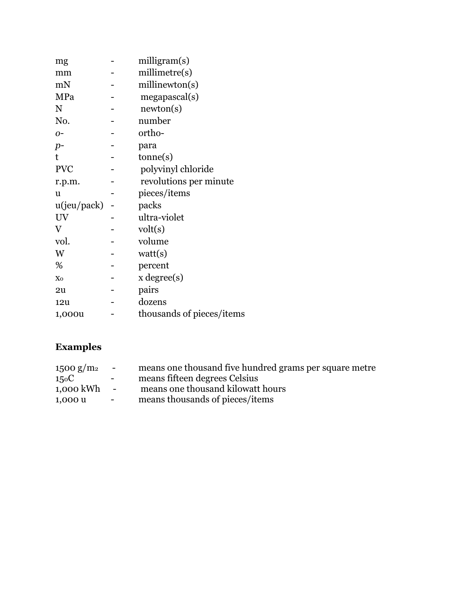| mg          | milligram(s)              |
|-------------|---------------------------|
| mm          | millimetre(s)             |
| mN          | millinewton(s)            |
| MPa         | megapascal(s)             |
| N           | newton(s)                 |
| No.         | number                    |
| $O -$       | ortho-                    |
| $p-$        | para                      |
| t           | tonne(s)                  |
| <b>PVC</b>  | polyvinyl chloride        |
| r.p.m.      | revolutions per minute    |
| u           | pieces/items              |
| u(jeu/pack) | packs                     |
| UV          | ultra-violet              |
| V           | volt(s)                   |
| vol.        | volume                    |
| W           | watt(s)                   |
| %           | percent                   |
| Xo          | $x \text{ degree}(s)$     |
| 2u          | pairs                     |
| 12u         | dozens                    |
| 1,000u      | thousands of pieces/items |
|             |                           |

# **Examples**

| 1500 g/m <sup>2</sup> | $\sim$ 10 $\pm$  | means one thousand five hundred grams per square metre |
|-----------------------|------------------|--------------------------------------------------------|
| 15 <sub>0</sub> C     | $\sim$ 100 $\mu$ | means fifteen degrees Celsius                          |
| 1,000 kWh             | $\sim$ $-$       | means one thousand kilowatt hours                      |
| 1,000 u               | $\sim$           | means thousands of pieces/items                        |
|                       |                  |                                                        |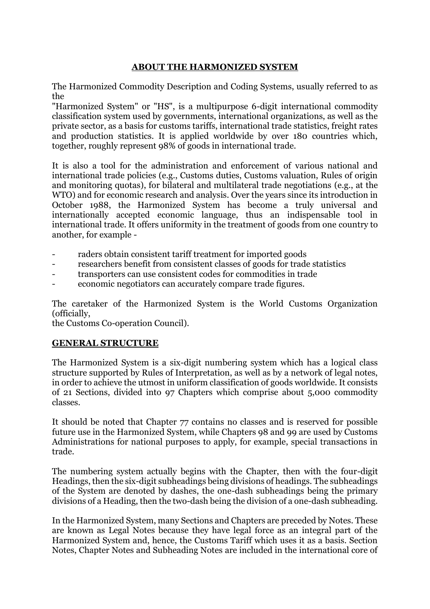### **ABOUT THE HARMONIZED SYSTEM**

The Harmonized Commodity Description and Coding Systems, usually referred to as the

"Harmonized System" or "HS", is a multipurpose 6-digit international commodity classification system used by governments, international organizations, as well as the private sector, as a basis for customs tariffs, international trade statistics, freight rates and production statistics. It is applied worldwide by over 180 countries which, together, roughly represent 98% of goods in international trade.

It is also a tool for the administration and enforcement of various national and international trade policies (e.g., Customs duties, Customs valuation, Rules of origin and monitoring quotas), for bilateral and multilateral trade negotiations (e.g., at the WTO) and for economic research and analysis. Over the years since its introduction in October 1988, the Harmonized System has become a truly universal and internationally accepted economic language, thus an indispensable tool in international trade. It offers uniformity in the treatment of goods from one country to another, for example -

- raders obtain consistent tariff treatment for imported goods
- researchers benefit from consistent classes of goods for trade statistics
- transporters can use consistent codes for commodities in trade
- economic negotiators can accurately compare trade figures.

The caretaker of the Harmonized System is the World Customs Organization (officially,

the Customs Co-operation Council).

#### **GENERAL STRUCTURE**

The Harmonized System is a six-digit numbering system which has a logical class structure supported by Rules of Interpretation, as well as by a network of legal notes, in order to achieve the utmost in uniform classification of goods worldwide. It consists of 21 Sections, divided into 97 Chapters which comprise about 5,000 commodity classes.

It should be noted that Chapter 77 contains no classes and is reserved for possible future use in the Harmonized System, while Chapters 98 and 99 are used by Customs Administrations for national purposes to apply, for example, special transactions in trade.

The numbering system actually begins with the Chapter, then with the four-digit Headings, then the six-digit subheadings being divisions of headings. The subheadings of the System are denoted by dashes, the one-dash subheadings being the primary divisions of a Heading, then the two-dash being the division of a one-dash subheading.

In the Harmonized System, many Sections and Chapters are preceded by Notes. These are known as Legal Notes because they have legal force as an integral part of the Harmonized System and, hence, the Customs Tariff which uses it as a basis. Section Notes, Chapter Notes and Subheading Notes are included in the international core of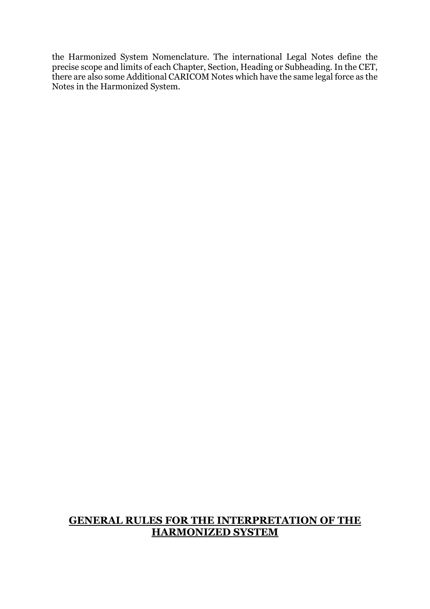the Harmonized System Nomenclature. The international Legal Notes define the precise scope and limits of each Chapter, Section, Heading or Subheading. In the CET, there are also some Additional CARICOM Notes which have the same legal force as the Notes in the Harmonized System.

## **GENERAL RULES FOR THE INTERPRETATION OF THE HARMONIZED SYSTEM**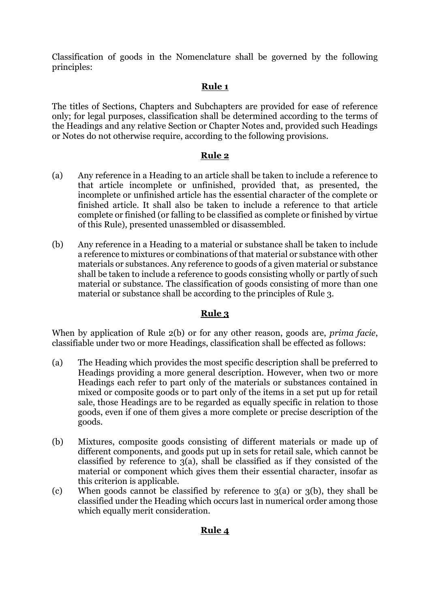Classification of goods in the Nomenclature shall be governed by the following principles:

## **Rule 1**

The titles of Sections, Chapters and Subchapters are provided for ease of reference only; for legal purposes, classification shall be determined according to the terms of the Headings and any relative Section or Chapter Notes and, provided such Headings or Notes do not otherwise require, according to the following provisions.

## **Rule 2**

- (a) Any reference in a Heading to an article shall be taken to include a reference to that article incomplete or unfinished, provided that, as presented, the incomplete or unfinished article has the essential character of the complete or finished article. It shall also be taken to include a reference to that article complete or finished (or falling to be classified as complete or finished by virtue of this Rule), presented unassembled or disassembled.
- (b) Any reference in a Heading to a material or substance shall be taken to include a reference to mixtures or combinations of that material or substance with other materials or substances. Any reference to goods of a given material or substance shall be taken to include a reference to goods consisting wholly or partly of such material or substance. The classification of goods consisting of more than one material or substance shall be according to the principles of Rule 3.

#### **Rule 3**

When by application of Rule 2(b) or for any other reason, goods are, *prima facie*, classifiable under two or more Headings, classification shall be effected as follows:

- (a) The Heading which provides the most specific description shall be preferred to Headings providing a more general description. However, when two or more Headings each refer to part only of the materials or substances contained in mixed or composite goods or to part only of the items in a set put up for retail sale, those Headings are to be regarded as equally specific in relation to those goods, even if one of them gives a more complete or precise description of the goods.
- (b) Mixtures, composite goods consisting of different materials or made up of different components, and goods put up in sets for retail sale, which cannot be classified by reference to 3(a), shall be classified as if they consisted of the material or component which gives them their essential character, insofar as this criterion is applicable.
- (c) When goods cannot be classified by reference to  $3(a)$  or  $3(b)$ , they shall be classified under the Heading which occurs last in numerical order among those which equally merit consideration.

#### **Rule 4**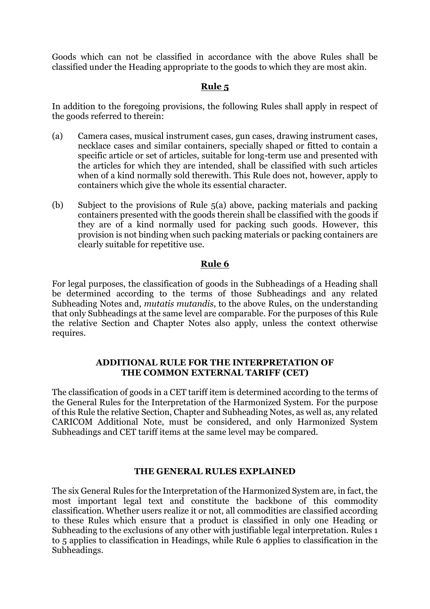Goods which can not be classified in accordance with the above Rules shall be classified under the Heading appropriate to the goods to which they are most akin.

#### **Rule 5**

In addition to the foregoing provisions, the following Rules shall apply in respect of the goods referred to therein:

- (a) Camera cases, musical instrument cases, gun cases, drawing instrument cases, necklace cases and similar containers, specially shaped or fitted to contain a specific article or set of articles, suitable for long-term use and presented with the articles for which they are intended, shall be classified with such articles when of a kind normally sold therewith. This Rule does not, however, apply to containers which give the whole its essential character.
- (b) Subject to the provisions of Rule 5(a) above, packing materials and packing containers presented with the goods therein shall be classified with the goods if they are of a kind normally used for packing such goods. However, this provision is not binding when such packing materials or packing containers are clearly suitable for repetitive use.

#### **Rule 6**

For legal purposes, the classification of goods in the Subheadings of a Heading shall be determined according to the terms of those Subheadings and any related Subheading Notes and, *mutatis mutandis*, to the above Rules, on the understanding that only Subheadings at the same level are comparable. For the purposes of this Rule the relative Section and Chapter Notes also apply, unless the context otherwise requires.

#### **ADDITIONAL RULE FOR THE INTERPRETATION OF THE COMMON EXTERNAL TARIFF (CET)**

The classification of goods in a CET tariff item is determined according to the terms of the General Rules for the Interpretation of the Harmonized System. For the purpose of this Rule the relative Section, Chapter and Subheading Notes, as well as, any related CARICOM Additional Note, must be considered, and only Harmonized System Subheadings and CET tariff items at the same level may be compared.

#### **THE GENERAL RULES EXPLAINED**

The six General Rules for the Interpretation of the Harmonized System are, in fact, the most important legal text and constitute the backbone of this commodity classification. Whether users realize it or not, all commodities are classified according to these Rules which ensure that a product is classified in only one Heading or Subheading to the exclusions of any other with justifiable legal interpretation. Rules 1 to 5 applies to classification in Headings, while Rule 6 applies to classification in the Subheadings.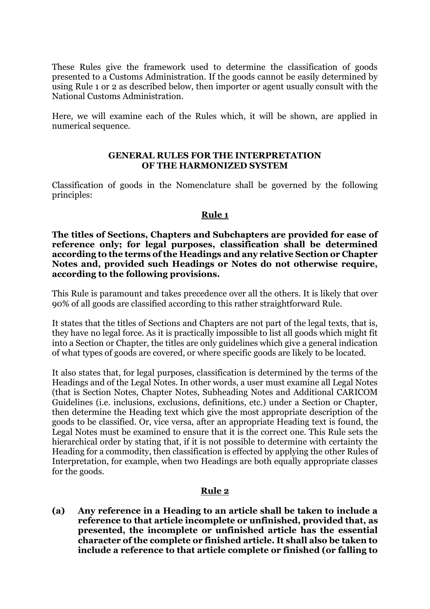These Rules give the framework used to determine the classification of goods presented to a Customs Administration. If the goods cannot be easily determined by using Rule 1 or 2 as described below, then importer or agent usually consult with the National Customs Administration.

Here, we will examine each of the Rules which, it will be shown, are applied in numerical sequence.

#### **GENERAL RULES FOR THE INTERPRETATION OF THE HARMONIZED SYSTEM**

Classification of goods in the Nomenclature shall be governed by the following principles:

#### **Rule 1**

**The titles of Sections, Chapters and Subchapters are provided for ease of reference only; for legal purposes, classification shall be determined according to the terms of the Headings and any relative Section or Chapter Notes and, provided such Headings or Notes do not otherwise require, according to the following provisions.**

This Rule is paramount and takes precedence over all the others. It is likely that over 90% of all goods are classified according to this rather straightforward Rule.

It states that the titles of Sections and Chapters are not part of the legal texts, that is, they have no legal force. As it is practically impossible to list all goods which might fit into a Section or Chapter, the titles are only guidelines which give a general indication of what types of goods are covered, or where specific goods are likely to be located.

It also states that, for legal purposes, classification is determined by the terms of the Headings and of the Legal Notes. In other words, a user must examine all Legal Notes (that is Section Notes, Chapter Notes, Subheading Notes and Additional CARICOM Guidelines (i.e. inclusions, exclusions, definitions, etc.) under a Section or Chapter, then determine the Heading text which give the most appropriate description of the goods to be classified. Or, vice versa, after an appropriate Heading text is found, the Legal Notes must be examined to ensure that it is the correct one. This Rule sets the hierarchical order by stating that, if it is not possible to determine with certainty the Heading for a commodity, then classification is effected by applying the other Rules of Interpretation, for example, when two Headings are both equally appropriate classes for the goods.

#### **Rule 2**

**(a) Any reference in a Heading to an article shall be taken to include a reference to that article incomplete or unfinished, provided that, as presented, the incomplete or unfinished article has the essential character of the complete or finished article. It shall also be taken to include a reference to that article complete or finished (or falling to**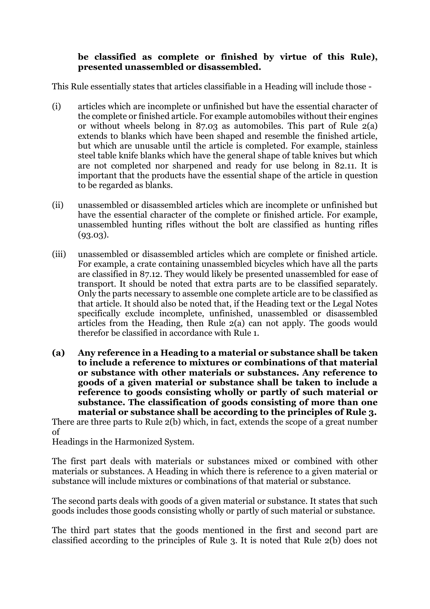#### **be classified as complete or finished by virtue of this Rule), presented unassembled or disassembled.**

This Rule essentially states that articles classifiable in a Heading will include those -

- (i) articles which are incomplete or unfinished but have the essential character of the complete or finished article. For example automobiles without their engines or without wheels belong in 87.03 as automobiles. This part of Rule 2(a) extends to blanks which have been shaped and resemble the finished article, but which are unusable until the article is completed. For example, stainless steel table knife blanks which have the general shape of table knives but which are not completed nor sharpened and ready for use belong in 82.11. It is important that the products have the essential shape of the article in question to be regarded as blanks.
- (ii) unassembled or disassembled articles which are incomplete or unfinished but have the essential character of the complete or finished article. For example, unassembled hunting rifles without the bolt are classified as hunting rifles (93.03).
- (iii) unassembled or disassembled articles which are complete or finished article. For example, a crate containing unassembled bicycles which have all the parts are classified in 87.12. They would likely be presented unassembled for ease of transport. It should be noted that extra parts are to be classified separately. Only the parts necessary to assemble one complete article are to be classified as that article. It should also be noted that, if the Heading text or the Legal Notes specifically exclude incomplete, unfinished, unassembled or disassembled articles from the Heading, then Rule 2(a) can not apply. The goods would therefor be classified in accordance with Rule 1.
- **(a) Any reference in a Heading to a material or substance shall be taken to include a reference to mixtures or combinations of that material or substance with other materials or substances. Any reference to goods of a given material or substance shall be taken to include a reference to goods consisting wholly or partly of such material or substance. The classification of goods consisting of more than one material or substance shall be according to the principles of Rule 3.**

There are three parts to Rule 2(b) which, in fact, extends the scope of a great number of

Headings in the Harmonized System.

The first part deals with materials or substances mixed or combined with other materials or substances. A Heading in which there is reference to a given material or substance will include mixtures or combinations of that material or substance.

The second parts deals with goods of a given material or substance. It states that such goods includes those goods consisting wholly or partly of such material or substance.

The third part states that the goods mentioned in the first and second part are classified according to the principles of Rule 3. It is noted that Rule 2(b) does not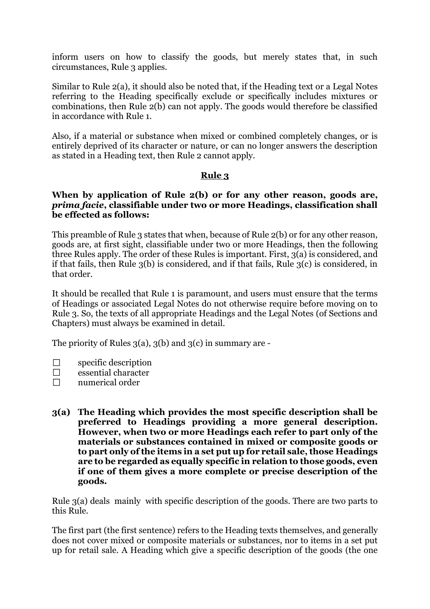inform users on how to classify the goods, but merely states that, in such circumstances, Rule 3 applies.

Similar to Rule 2(a), it should also be noted that, if the Heading text or a Legal Notes referring to the Heading specifically exclude or specifically includes mixtures or combinations, then Rule 2(b) can not apply. The goods would therefore be classified in accordance with Rule 1.

Also, if a material or substance when mixed or combined completely changes, or is entirely deprived of its character or nature, or can no longer answers the description as stated in a Heading text, then Rule 2 cannot apply.

#### **Rule 3**

#### **When by application of Rule 2(b) or for any other reason, goods are,**  *prima facie***, classifiable under two or more Headings, classification shall be effected as follows:**

This preamble of Rule 3 states that when, because of Rule 2(b) or for any other reason, goods are, at first sight, classifiable under two or more Headings, then the following three Rules apply. The order of these Rules is important. First, 3(a) is considered, and if that fails, then Rule 3(b) is considered, and if that fails, Rule 3(c) is considered, in that order.

It should be recalled that Rule 1 is paramount, and users must ensure that the terms of Headings or associated Legal Notes do not otherwise require before moving on to Rule 3. So, the texts of all appropriate Headings and the Legal Notes (of Sections and Chapters) must always be examined in detail.

The priority of Rules  $3(a)$ ,  $3(b)$  and  $3(c)$  in summary are -

- $\Box$ specific description
- $\Box$ essential character
- $\Box$ numerical order
- **3(a) The Heading which provides the most specific description shall be preferred to Headings providing a more general description. However, when two or more Headings each refer to part only of the materials or substances contained in mixed or composite goods or to part only of the items in a set put up for retail sale, those Headings are to be regarded as equally specific in relation to those goods, even if one of them gives a more complete or precise description of the goods.**

Rule 3(a) deals mainly with specific description of the goods. There are two parts to this Rule.

The first part (the first sentence) refers to the Heading texts themselves, and generally does not cover mixed or composite materials or substances, nor to items in a set put up for retail sale. A Heading which give a specific description of the goods (the one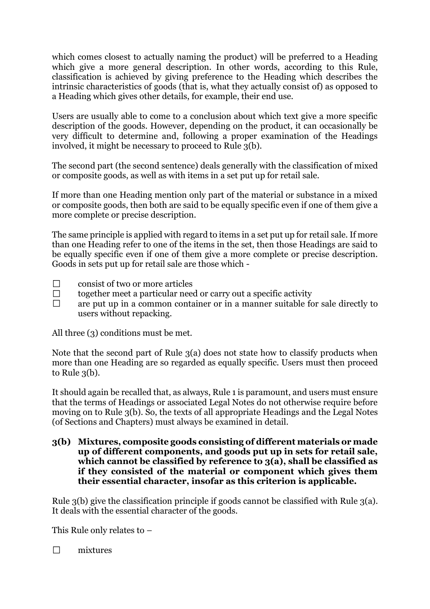which comes closest to actually naming the product) will be preferred to a Heading which give a more general description. In other words, according to this Rule, classification is achieved by giving preference to the Heading which describes the intrinsic characteristics of goods (that is, what they actually consist of) as opposed to a Heading which gives other details, for example, their end use.

Users are usually able to come to a conclusion about which text give a more specific description of the goods. However, depending on the product, it can occasionally be very difficult to determine and, following a proper examination of the Headings involved, it might be necessary to proceed to Rule 3(b).

The second part (the second sentence) deals generally with the classification of mixed or composite goods, as well as with items in a set put up for retail sale.

If more than one Heading mention only part of the material or substance in a mixed or composite goods, then both are said to be equally specific even if one of them give a more complete or precise description.

The same principle is applied with regard to items in a set put up for retail sale. If more than one Heading refer to one of the items in the set, then those Headings are said to be equally specific even if one of them give a more complete or precise description. Goods in sets put up for retail sale are those which -

- $\Box$ consist of two or more articles
- $\Box$ together meet a particular need or carry out a specific activity
- $\Box$ are put up in a common container or in a manner suitable for sale directly to users without repacking.

All three (3) conditions must be met.

Note that the second part of Rule 3(a) does not state how to classify products when more than one Heading are so regarded as equally specific. Users must then proceed to Rule 3(b).

It should again be recalled that, as always, Rule 1 is paramount, and users must ensure that the terms of Headings or associated Legal Notes do not otherwise require before moving on to Rule 3(b). So, the texts of all appropriate Headings and the Legal Notes (of Sections and Chapters) must always be examined in detail.

**3(b) Mixtures, composite goods consisting of different materials or made up of different components, and goods put up in sets for retail sale, which cannot be classified by reference to 3(a), shall be classified as if they consisted of the material or component which gives them their essential character, insofar as this criterion is applicable.**

Rule 3(b) give the classification principle if goods cannot be classified with Rule 3(a). It deals with the essential character of the goods.

This Rule only relates to –

 $\Box$ mixtures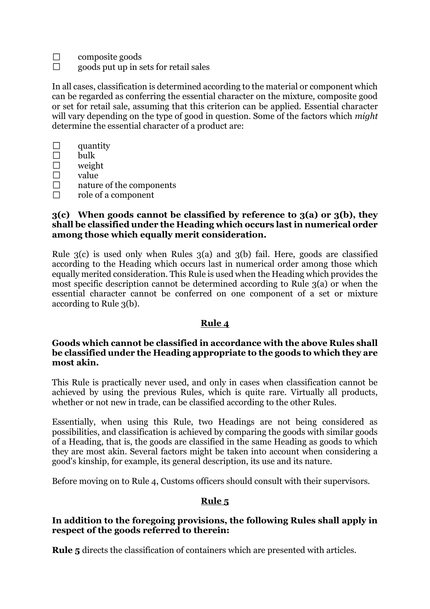$\Box$ composite goods

 $\Box$ goods put up in sets for retail sales

In all cases, classification is determined according to the material or component which can be regarded as conferring the essential character on the mixture, composite good or set for retail sale, assuming that this criterion can be applied. Essential character will vary depending on the type of good in question. Some of the factors which *might* determine the essential character of a product are:

| quantity                 |
|--------------------------|
| bulk                     |
| weight                   |
| value                    |
| nature of the components |

 $\Box$ role of a component

#### **3(c) When goods cannot be classified by reference to 3(a) or 3(b), they shall be classified under the Heading which occurs last in numerical order among those which equally merit consideration.**

Rule 3(c) is used only when Rules 3(a) and 3(b) fail. Here, goods are classified according to the Heading which occurs last in numerical order among those which equally merited consideration. This Rule is used when the Heading which provides the most specific description cannot be determined according to Rule 3(a) or when the essential character cannot be conferred on one component of a set or mixture according to Rule 3(b).

## **Rule 4**

#### **Goods which cannot be classified in accordance with the above Rules shall be classified under the Heading appropriate to the goods to which they are most akin.**

This Rule is practically never used, and only in cases when classification cannot be achieved by using the previous Rules, which is quite rare. Virtually all products, whether or not new in trade, can be classified according to the other Rules.

Essentially, when using this Rule, two Headings are not being considered as possibilities, and classification is achieved by comparing the goods with similar goods of a Heading, that is, the goods are classified in the same Heading as goods to which they are most akin. Several factors might be taken into account when considering a good's kinship, for example, its general description, its use and its nature.

Before moving on to Rule 4, Customs officers should consult with their supervisors.

#### **Rule 5**

#### **In addition to the foregoing provisions, the following Rules shall apply in respect of the goods referred to therein:**

**Rule 5** directs the classification of containers which are presented with articles.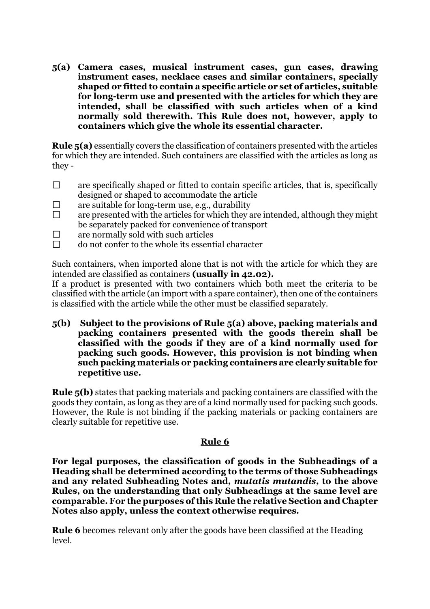**5(a) Camera cases, musical instrument cases, gun cases, drawing instrument cases, necklace cases and similar containers, specially shaped or fitted to contain a specific article or set of articles, suitable for long-term use and presented with the articles for which they are intended, shall be classified with such articles when of a kind normally sold therewith. This Rule does not, however, apply to containers which give the whole its essential character.**

**Rule 5(a)** essentially covers the classification of containers presented with the articles for which they are intended. Such containers are classified with the articles as long as they -

- $\Box$ are specifically shaped or fitted to contain specific articles, that is, specifically designed or shaped to accommodate the article
- $\Box$ are suitable for long-term use, e.g., durability
- $\Box$ are presented with the articles for which they are intended, although they might be separately packed for convenience of transport
- $\Box$ are normally sold with such articles
- $\Box$ do not confer to the whole its essential character

Such containers, when imported alone that is not with the article for which they are intended are classified as containers **(usually in 42.02).**

If a product is presented with two containers which both meet the criteria to be classified with the article (an import with a spare container), then one of the containers is classified with the article while the other must be classified separately.

**5(b) Subject to the provisions of Rule 5(a) above, packing materials and packing containers presented with the goods therein shall be classified with the goods if they are of a kind normally used for packing such goods. However, this provision is not binding when such packing materials or packing containers are clearly suitable for repetitive use.** 

**Rule 5(b)** states that packing materials and packing containers are classified with the goods they contain, as long as they are of a kind normally used for packing such goods. However, the Rule is not binding if the packing materials or packing containers are clearly suitable for repetitive use.

#### **Rule 6**

**For legal purposes, the classification of goods in the Subheadings of a Heading shall be determined according to the terms of those Subheadings and any related Subheading Notes and,** *mutatis mutandis***, to the above Rules, on the understanding that only Subheadings at the same level are comparable. For the purposes of this Rule the relative Section and Chapter Notes also apply, unless the context otherwise requires.**

**Rule 6** becomes relevant only after the goods have been classified at the Heading level.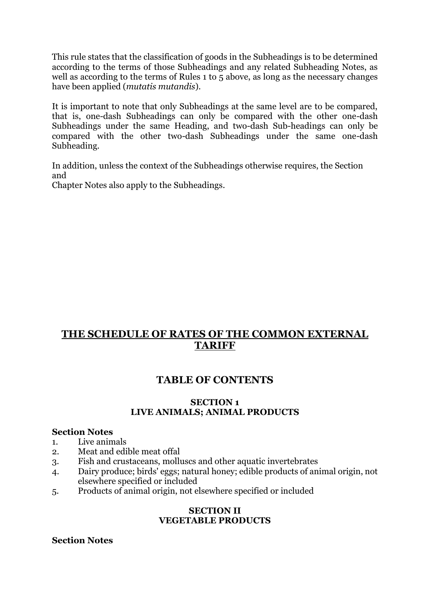This rule states that the classification of goods in the Subheadings is to be determined according to the terms of those Subheadings and any related Subheading Notes, as well as according to the terms of Rules 1 to 5 above, as long as the necessary changes have been applied (*mutatis mutandis*).

It is important to note that only Subheadings at the same level are to be compared, that is, one-dash Subheadings can only be compared with the other one-dash Subheadings under the same Heading, and two-dash Sub-headings can only be compared with the other two-dash Subheadings under the same one-dash Subheading.

In addition, unless the context of the Subheadings otherwise requires, the Section and

Chapter Notes also apply to the Subheadings.

# **THE SCHEDULE OF RATES OF THE COMMON EXTERNAL TARIFF**

# **TABLE OF CONTENTS**

#### **SECTION 1 LIVE ANIMALS; ANIMAL PRODUCTS**

#### **Section Notes**

- 1. Live animals
- 2. Meat and edible meat offal
- 3. Fish and crustaceans, molluscs and other aquatic invertebrates
- 4. Dairy produce; birds' eggs; natural honey; edible products of animal origin, not elsewhere specified or included
- 5. Products of animal origin, not elsewhere specified or included

#### **SECTION II VEGETABLE PRODUCTS**

#### **Section Notes**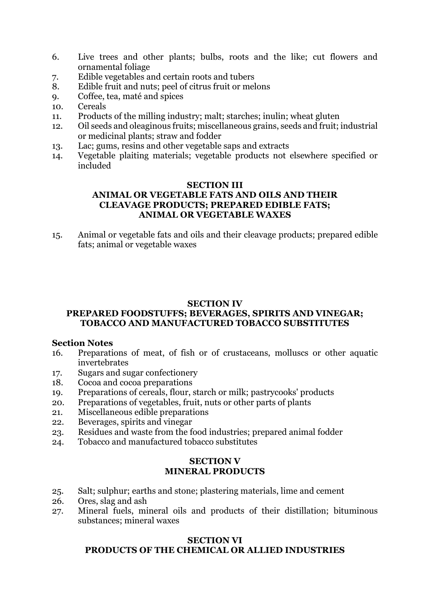- 6. Live trees and other plants; bulbs, roots and the like; cut flowers and ornamental foliage
- 7. Edible vegetables and certain roots and tubers
- 8. Edible fruit and nuts; peel of citrus fruit or melons
- 9. Coffee, tea, maté and spices
- 10. Cereals
- 11. Products of the milling industry; malt; starches; inulin; wheat gluten
- 12. Oil seeds and oleaginous fruits; miscellaneous grains, seeds and fruit; industrial or medicinal plants; straw and fodder
- 13. Lac; gums, resins and other vegetable saps and extracts
- 14. Vegetable plaiting materials; vegetable products not elsewhere specified or included

#### **SECTION III ANIMAL OR VEGETABLE FATS AND OILS AND THEIR CLEAVAGE PRODUCTS; PREPARED EDIBLE FATS; ANIMAL OR VEGETABLE WAXES**

15. Animal or vegetable fats and oils and their cleavage products; prepared edible fats; animal or vegetable waxes

#### **SECTION IV**

#### **PREPARED FOODSTUFFS; BEVERAGES, SPIRITS AND VINEGAR; TOBACCO AND MANUFACTURED TOBACCO SUBSTITUTES**

#### **Section Notes**

- 16. Preparations of meat, of fish or of crustaceans, molluscs or other aquatic invertebrates
- 17. Sugars and sugar confectionery
- 18. Cocoa and cocoa preparations
- 19. Preparations of cereals, flour, starch or milk; pastrycooks' products
- 20. Preparations of vegetables, fruit, nuts or other parts of plants
- 21. Miscellaneous edible preparations
- 22. Beverages, spirits and vinegar
- 23. Residues and waste from the food industries; prepared animal fodder
- 24. Tobacco and manufactured tobacco substitutes

#### **SECTION V MINERAL PRODUCTS**

- 25. Salt; sulphur; earths and stone; plastering materials, lime and cement
- 26. Ores, slag and ash
- 27. Mineral fuels, mineral oils and products of their distillation; bituminous substances; mineral waxes

#### **SECTION VI PRODUCTS OF THE CHEMICAL OR ALLIED INDUSTRIES**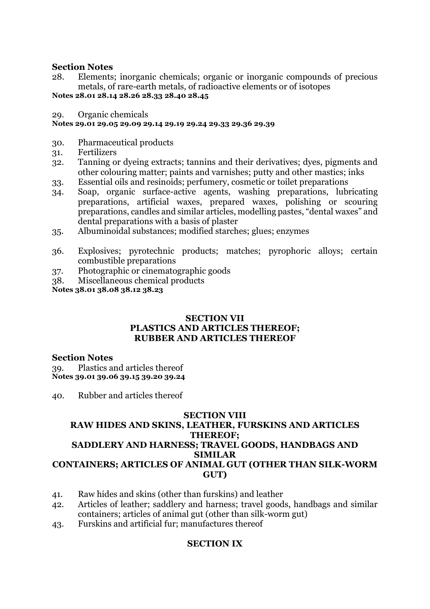#### **Section Notes**

28. Elements; inorganic chemicals; organic or inorganic compounds of precious metals, of rare-earth metals, of radioactive elements or of isotopes

**Notes 28.01 28.14 28.26 28.33 28.40 28.45**

29. Organic chemicals

#### **Notes 29.01 29.05 29.09 29.14 29.19 29.24 29.33 29.36 29.39**

- 30. Pharmaceutical products
- 31. Fertilizers
- 32. Tanning or dyeing extracts; tannins and their derivatives; dyes, pigments and other colouring matter; paints and varnishes; putty and other mastics; inks
- 33. Essential oils and resinoids; perfumery, cosmetic or toilet preparations
- 34. Soap, organic surface-active agents, washing preparations, lubricating preparations, artificial waxes, prepared waxes, polishing or scouring preparations, candles and similar articles, modelling pastes, "dental waxes" and dental preparations with a basis of plaster
- 35. Albuminoidal substances; modified starches; glues; enzymes
- 36. Explosives; pyrotechnic products; matches; pyrophoric alloys; certain combustible preparations
- 37. Photographic or cinematographic goods
- 38. Miscellaneous chemical products

**Notes 38.01 38.08 38.12 38.23**

#### **SECTION VII PLASTICS AND ARTICLES THEREOF; RUBBER AND ARTICLES THEREOF**

#### **Section Notes**

39. Plastics and articles thereof **Notes 39.01 39.06 39.15 39.20 39.24**

40. Rubber and articles thereof

#### **SECTION VIII**

## **RAW HIDES AND SKINS, LEATHER, FURSKINS AND ARTICLES THEREOF; SADDLERY AND HARNESS; TRAVEL GOODS, HANDBAGS AND SIMILAR CONTAINERS; ARTICLES OF ANIMAL GUT (OTHER THAN SILK-WORM GUT)**

- 41. Raw hides and skins (other than furskins) and leather
- 42. Articles of leather; saddlery and harness; travel goods, handbags and similar containers; articles of animal gut (other than silk-worm gut)
- 43. Furskins and artificial fur; manufactures thereof

#### **SECTION IX**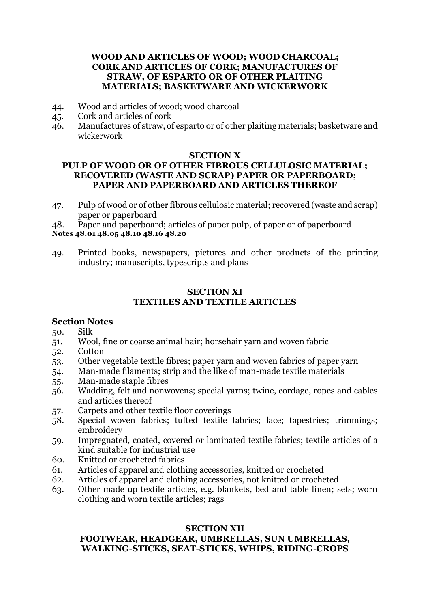#### **WOOD AND ARTICLES OF WOOD; WOOD CHARCOAL; CORK AND ARTICLES OF CORK; MANUFACTURES OF STRAW, OF ESPARTO OR OF OTHER PLAITING MATERIALS; BASKETWARE AND WICKERWORK**

- 44. Wood and articles of wood; wood charcoal
- 45. Cork and articles of cork
- 46. Manufactures of straw, of esparto or of other plaiting materials; basketware and wickerwork

#### **SECTION X**

#### **PULP OF WOOD OR OF OTHER FIBROUS CELLULOSIC MATERIAL; RECOVERED (WASTE AND SCRAP) PAPER OR PAPERBOARD; PAPER AND PAPERBOARD AND ARTICLES THEREOF**

47. Pulp of wood or of other fibrous cellulosic material; recovered (waste and scrap) paper or paperboard

48. Paper and paperboard; articles of paper pulp, of paper or of paperboard **Notes 48.01 48.05 48.10 48.16 48.20**

49. Printed books, newspapers, pictures and other products of the printing industry; manuscripts, typescripts and plans

#### **SECTION XI TEXTILES AND TEXTILE ARTICLES**

#### **Section Notes**

50. Silk

- 51. Wool, fine or coarse animal hair; horsehair yarn and woven fabric
- 52. Cotton
- 53. Other vegetable textile fibres; paper yarn and woven fabrics of paper yarn
- 54. Man-made filaments; strip and the like of man-made textile materials
- 55. Man-made staple fibres
- 56. Wadding, felt and nonwovens; special yarns; twine, cordage, ropes and cables and articles thereof
- 57. Carpets and other textile floor coverings
- 58. Special woven fabrics; tufted textile fabrics; lace; tapestries; trimmings; embroidery
- 59. Impregnated, coated, covered or laminated textile fabrics; textile articles of a kind suitable for industrial use
- 60. Knitted or crocheted fabrics
- 61. Articles of apparel and clothing accessories, knitted or crocheted
- 62. Articles of apparel and clothing accessories, not knitted or crocheted
- 63. Other made up textile articles, e.g. blankets, bed and table linen; sets; worn clothing and worn textile articles; rags

#### **SECTION XII FOOTWEAR, HEADGEAR, UMBRELLAS, SUN UMBRELLAS, WALKING-STICKS, SEAT-STICKS, WHIPS, RIDING-CROPS**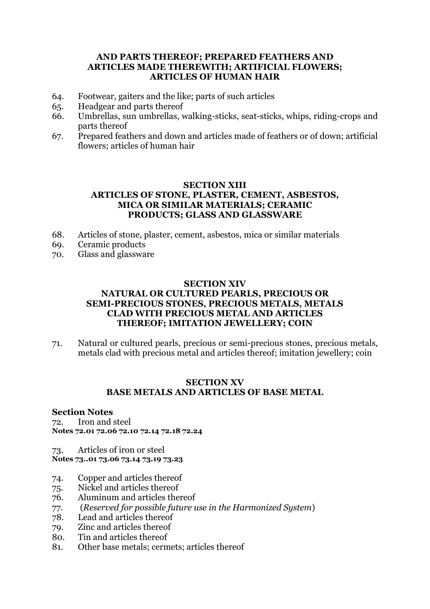#### **AND PARTS THEREOF; PREPARED FEATHERS AND ARTICLES MADE THEREWITH; ARTIFICIAL FLOWERS; ARTICLES OF HUMAN HAIR**

- 64. Footwear, gaiters and the like; parts of such articles
- 65. Headgear and parts thereof
- 66. Umbrellas, sun umbrellas, walking-sticks, seat-sticks, whips, riding-crops and parts thereof
- 67. Prepared feathers and down and articles made of feathers or of down; artificial flowers; articles of human hair

#### **SECTION XIII ARTICLES OF STONE, PLASTER, CEMENT, ASBESTOS, MICA OR SIMILAR MATERIALS; CERAMIC PRODUCTS; GLASS AND GLASSWARE**

- 68. Articles of stone, plaster, cement, asbestos, mica or similar materials
- 69. Ceramic products
- 70. Glass and glassware

#### **SECTION XIV NATURAL OR CULTURED PEARLS, PRECIOUS OR SEMI-PRECIOUS STONES, PRECIOUS METALS, METALS CLAD WITH PRECIOUS METAL AND ARTICLES THEREOF; IMITATION JEWELLERY; COIN**

71. Natural or cultured pearls, precious or semi-precious stones, precious metals, metals clad with precious metal and articles thereof; imitation jewellery; coin

#### **SECTION XV BASE METALS AND ARTICLES OF BASE METAL**

#### **Section Notes**

72. Iron and steel **Notes 72.01 72.06 72.10 72.14 72.18 72.24**

73. Articles of iron or steel **Notes 73..01 73.06 73.14 73.19 73.23**

- 74. Copper and articles thereof
- 75. Nickel and articles thereof
- 76. Aluminum and articles thereof
- 77. (*Reserved for possible future use in the Harmonized System*)
- 78. Lead and articles thereof
- 79. Zinc and articles thereof
- 80. Tin and articles thereof
- 81. Other base metals; cermets; articles thereof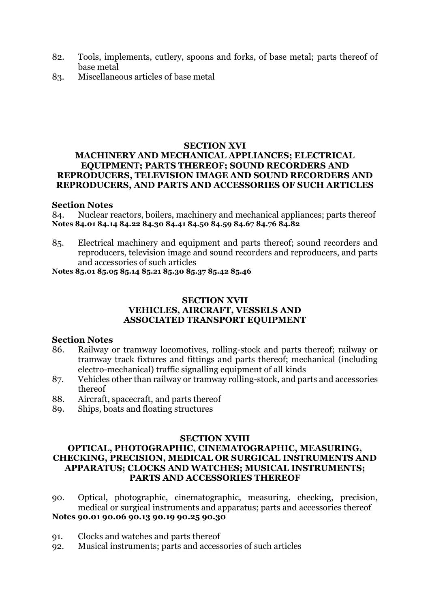- 82. Tools, implements, cutlery, spoons and forks, of base metal; parts thereof of base metal
- 83. Miscellaneous articles of base metal

#### **SECTION XVI**

#### **MACHINERY AND MECHANICAL APPLIANCES; ELECTRICAL EQUIPMENT; PARTS THEREOF; SOUND RECORDERS AND REPRODUCERS, TELEVISION IMAGE AND SOUND RECORDERS AND REPRODUCERS, AND PARTS AND ACCESSORIES OF SUCH ARTICLES**

#### **Section Notes**

84. Nuclear reactors, boilers, machinery and mechanical appliances; parts thereof **Notes 84.01 84.14 84.22 84.30 84.41 84.50 84.59 84.67 84.76 84.82**

85. Electrical machinery and equipment and parts thereof; sound recorders and reproducers, television image and sound recorders and reproducers, and parts and accessories of such articles

**Notes 85.01 85.05 85.14 85.21 85.30 85.37 85.42 85.46**

#### **SECTION XVII VEHICLES, AIRCRAFT, VESSELS AND ASSOCIATED TRANSPORT EQUIPMENT**

#### **Section Notes**

- 86. Railway or tramway locomotives, rolling-stock and parts thereof; railway or tramway track fixtures and fittings and parts thereof; mechanical (including electro-mechanical) traffic signalling equipment of all kinds
- 87. Vehicles other than railway or tramway rolling-stock, and parts and accessories thereof
- 88. Aircraft, spacecraft, and parts thereof
- 89. Ships, boats and floating structures

#### **SECTION XVIII**

#### **OPTICAL, PHOTOGRAPHIC, CINEMATOGRAPHIC, MEASURING, CHECKING, PRECISION, MEDICAL OR SURGICAL INSTRUMENTS AND APPARATUS; CLOCKS AND WATCHES; MUSICAL INSTRUMENTS; PARTS AND ACCESSORIES THEREOF**

- 90. Optical, photographic, cinematographic, measuring, checking, precision, medical or surgical instruments and apparatus; parts and accessories thereof **Notes 90.01 90.06 90.13 90.19 90.25 90.30**
- 91. Clocks and watches and parts thereof
- 92. Musical instruments; parts and accessories of such articles